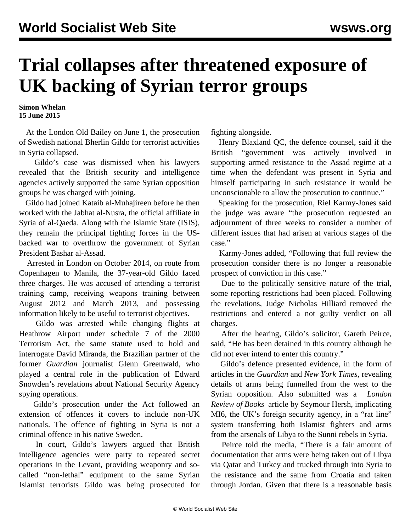## **Trial collapses after threatened exposure of UK backing of Syrian terror groups**

**Simon Whelan 15 June 2015**

 At the London Old Bailey on June 1, the prosecution of Swedish national Bherlin Gildo for terrorist activities in Syria collapsed.

 Gildo's case was dismissed when his lawyers revealed that the British security and intelligence agencies actively supported the same Syrian opposition groups he was charged with joining.

 Gildo had joined Kataib al-Muhajireen before he then worked with the Jabhat al-Nusra, the official affiliate in Syria of al-Qaeda. Along with the Islamic State (ISIS), they remain the principal fighting forces in the USbacked war to overthrow the government of Syrian President Bashar al-Assad.

 Arrested in London on October 2014, on route from Copenhagen to Manila, the 37-year-old Gildo faced three charges. He was accused of attending a terrorist training camp, receiving weapons training between August 2012 and March 2013, and possessing information likely to be useful to terrorist objectives.

 Gildo was arrested while changing flights at Heathrow Airport under schedule 7 of the 2000 Terrorism Act, the same statute used to hold and interrogate David Miranda, the Brazilian partner of the former *Guardian* journalist Glenn Greenwald, who played a central role in the publication of Edward Snowden's revelations about National Security Agency spying operations.

 Gildo's prosecution under the Act followed an extension of offences it covers to include non-UK nationals. The offence of fighting in Syria is not a criminal offence in his native Sweden.

 In court, Gildo's lawyers argued that British intelligence agencies were party to repeated secret operations in the Levant, providing weaponry and socalled "non-lethal" equipment to the same Syrian Islamist terrorists Gildo was being prosecuted for

fighting alongside.

 Henry Blaxland QC, the defence counsel, said if the British "government was actively involved in supporting armed resistance to the Assad regime at a time when the defendant was present in Syria and himself participating in such resistance it would be unconscionable to allow the prosecution to continue."

 Speaking for the prosecution, Riel Karmy-Jones said the judge was aware "the prosecution requested an adjournment of three weeks to consider a number of different issues that had arisen at various stages of the case."

 Karmy-Jones added, "Following that full review the prosecution consider there is no longer a reasonable prospect of conviction in this case."

 Due to the politically sensitive nature of the trial, some reporting restrictions had been placed. Following the revelations, Judge Nicholas Hilliard removed the restrictions and entered a not guilty verdict on all charges.

 After the hearing, Gildo's solicitor, Gareth Peirce, said, "He has been detained in this country although he did not ever intend to enter this country."

 Gildo's defence presented evidence, in the form of articles in the *Guardian* and *New York Times*, revealing details of arms being funnelled from the west to the Syrian opposition. Also submitted was a *London Review of Books* [article by Seymour Hersh,](/en/articles/2014/04/08/hrsh-a08.html) implicating MI6, the UK's foreign security agency, in a "rat line" system transferring both Islamist fighters and arms from the arsenals of Libya to the Sunni rebels in Syria.

 Peirce told the media, "There is a fair amount of documentation that arms were being taken out of Libya via Qatar and Turkey and trucked through into Syria to the resistance and the same from Croatia and taken through Jordan. Given that there is a reasonable basis